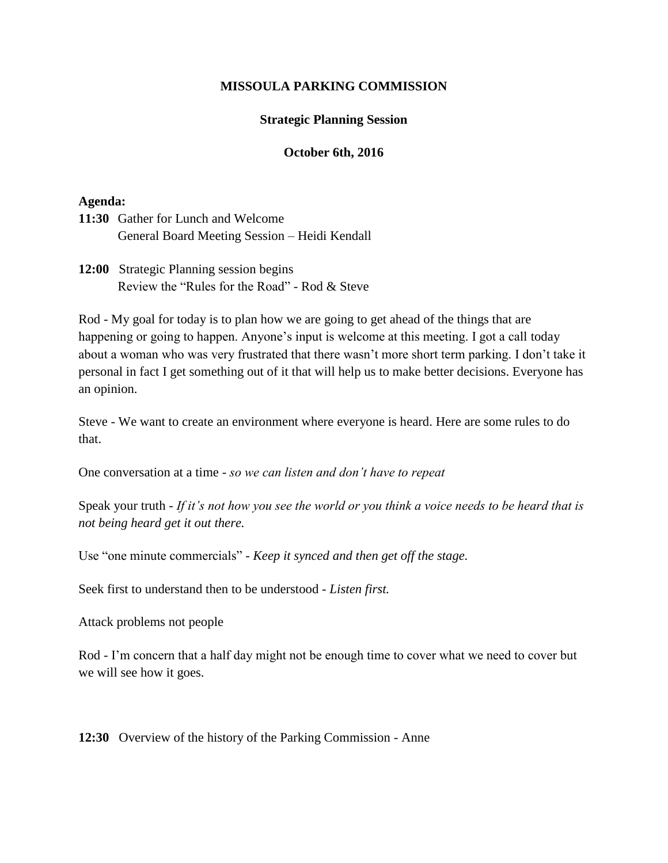## **MISSOULA PARKING COMMISSION**

#### **Strategic Planning Session**

## **October 6th, 2016**

## **Agenda:**

**11:30** Gather for Lunch and Welcome General Board Meeting Session – Heidi Kendall

**12:00** Strategic Planning session begins Review the "Rules for the Road" - Rod & Steve

Rod - My goal for today is to plan how we are going to get ahead of the things that are happening or going to happen. Anyone's input is welcome at this meeting. I got a call today about a woman who was very frustrated that there wasn't more short term parking. I don't take it personal in fact I get something out of it that will help us to make better decisions. Everyone has an opinion.

Steve - We want to create an environment where everyone is heard. Here are some rules to do that.

One conversation at a time - *so we can listen and don't have to repeat*

Speak your truth - *If it's not how you see the world or you think a voice needs to be heard that is not being heard get it out there.* 

Use "one minute commercials" - *Keep it synced and then get off the stage.*

Seek first to understand then to be understood - *Listen first.*

Attack problems not people

Rod - I'm concern that a half day might not be enough time to cover what we need to cover but we will see how it goes.

**12:30** Overview of the history of the Parking Commission - Anne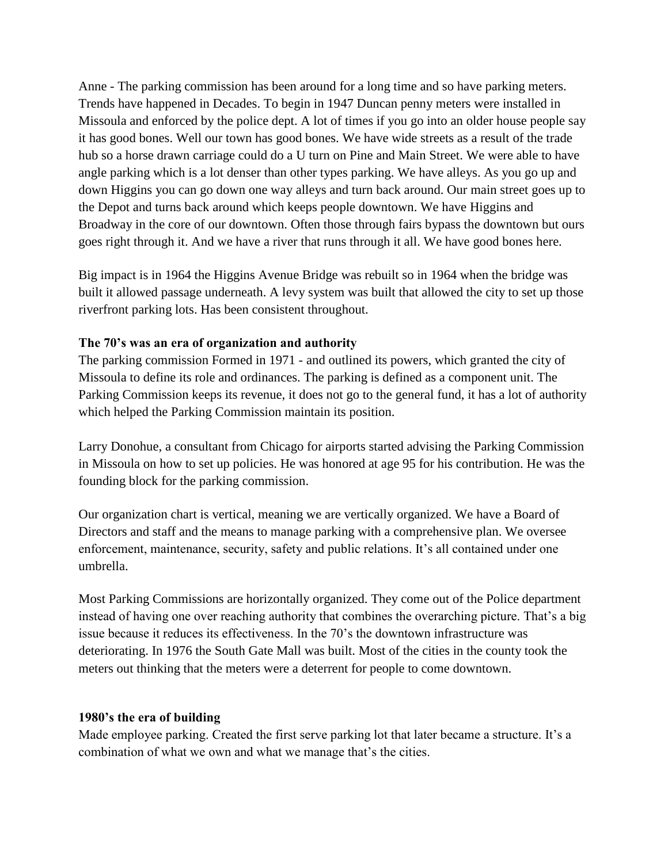Anne - The parking commission has been around for a long time and so have parking meters. Trends have happened in Decades. To begin in 1947 Duncan penny meters were installed in Missoula and enforced by the police dept. A lot of times if you go into an older house people say it has good bones. Well our town has good bones. We have wide streets as a result of the trade hub so a horse drawn carriage could do a U turn on Pine and Main Street. We were able to have angle parking which is a lot denser than other types parking. We have alleys. As you go up and down Higgins you can go down one way alleys and turn back around. Our main street goes up to the Depot and turns back around which keeps people downtown. We have Higgins and Broadway in the core of our downtown. Often those through fairs bypass the downtown but ours goes right through it. And we have a river that runs through it all. We have good bones here.

Big impact is in 1964 the Higgins Avenue Bridge was rebuilt so in 1964 when the bridge was built it allowed passage underneath. A levy system was built that allowed the city to set up those riverfront parking lots. Has been consistent throughout.

#### **The 70's was an era of organization and authority**

The parking commission Formed in 1971 - and outlined its powers, which granted the city of Missoula to define its role and ordinances. The parking is defined as a component unit. The Parking Commission keeps its revenue, it does not go to the general fund, it has a lot of authority which helped the Parking Commission maintain its position.

Larry Donohue, a consultant from Chicago for airports started advising the Parking Commission in Missoula on how to set up policies. He was honored at age 95 for his contribution. He was the founding block for the parking commission.

Our organization chart is vertical, meaning we are vertically organized. We have a Board of Directors and staff and the means to manage parking with a comprehensive plan. We oversee enforcement, maintenance, security, safety and public relations. It's all contained under one umbrella.

Most Parking Commissions are horizontally organized. They come out of the Police department instead of having one over reaching authority that combines the overarching picture. That's a big issue because it reduces its effectiveness. In the 70's the downtown infrastructure was deteriorating. In 1976 the South Gate Mall was built. Most of the cities in the county took the meters out thinking that the meters were a deterrent for people to come downtown.

#### **1980's the era of building**

Made employee parking. Created the first serve parking lot that later became a structure. It's a combination of what we own and what we manage that's the cities.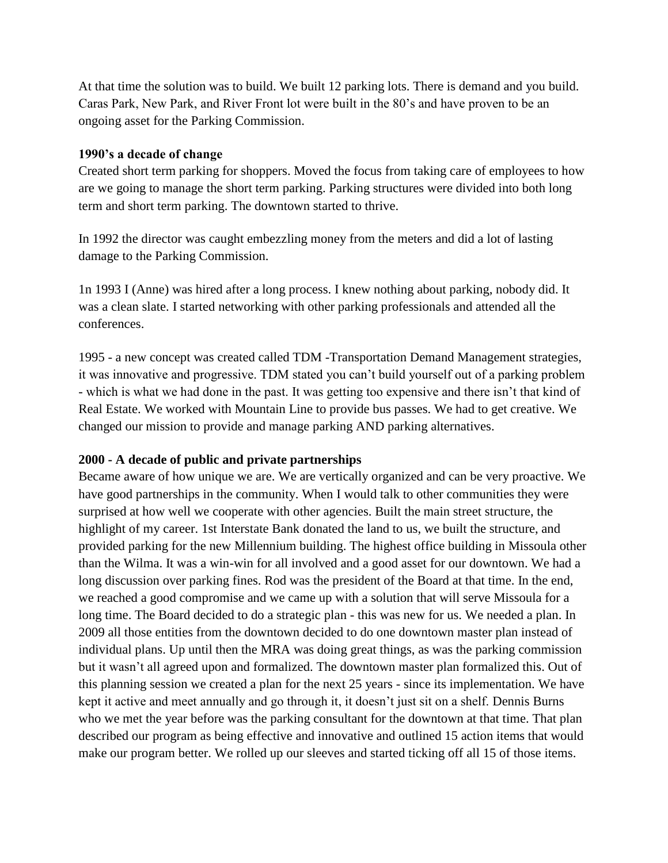At that time the solution was to build. We built 12 parking lots. There is demand and you build. Caras Park, New Park, and River Front lot were built in the 80's and have proven to be an ongoing asset for the Parking Commission.

## **1990's a decade of change**

Created short term parking for shoppers. Moved the focus from taking care of employees to how are we going to manage the short term parking. Parking structures were divided into both long term and short term parking. The downtown started to thrive.

In 1992 the director was caught embezzling money from the meters and did a lot of lasting damage to the Parking Commission.

1n 1993 I (Anne) was hired after a long process. I knew nothing about parking, nobody did. It was a clean slate. I started networking with other parking professionals and attended all the conferences.

1995 - a new concept was created called TDM -Transportation Demand Management strategies, it was innovative and progressive. TDM stated you can't build yourself out of a parking problem - which is what we had done in the past. It was getting too expensive and there isn't that kind of Real Estate. We worked with Mountain Line to provide bus passes. We had to get creative. We changed our mission to provide and manage parking AND parking alternatives.

## **2000 - A decade of public and private partnerships**

Became aware of how unique we are. We are vertically organized and can be very proactive. We have good partnerships in the community. When I would talk to other communities they were surprised at how well we cooperate with other agencies. Built the main street structure, the highlight of my career. 1st Interstate Bank donated the land to us, we built the structure, and provided parking for the new Millennium building. The highest office building in Missoula other than the Wilma. It was a win-win for all involved and a good asset for our downtown. We had a long discussion over parking fines. Rod was the president of the Board at that time. In the end, we reached a good compromise and we came up with a solution that will serve Missoula for a long time. The Board decided to do a strategic plan - this was new for us. We needed a plan. In 2009 all those entities from the downtown decided to do one downtown master plan instead of individual plans. Up until then the MRA was doing great things, as was the parking commission but it wasn't all agreed upon and formalized. The downtown master plan formalized this. Out of this planning session we created a plan for the next 25 years - since its implementation. We have kept it active and meet annually and go through it, it doesn't just sit on a shelf. Dennis Burns who we met the year before was the parking consultant for the downtown at that time. That plan described our program as being effective and innovative and outlined 15 action items that would make our program better. We rolled up our sleeves and started ticking off all 15 of those items.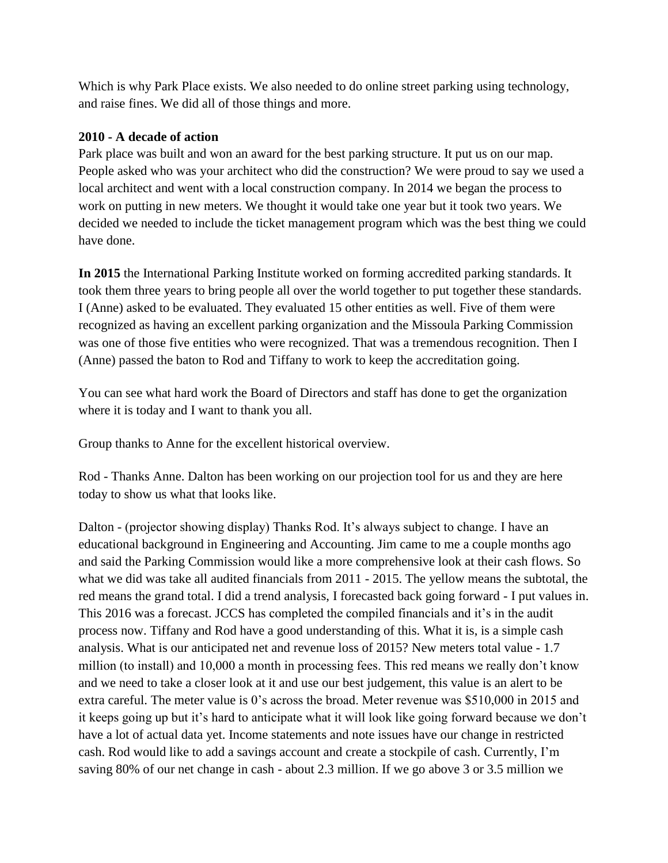Which is why Park Place exists. We also needed to do online street parking using technology, and raise fines. We did all of those things and more.

## **2010 - A decade of action**

Park place was built and won an award for the best parking structure. It put us on our map. People asked who was your architect who did the construction? We were proud to say we used a local architect and went with a local construction company. In 2014 we began the process to work on putting in new meters. We thought it would take one year but it took two years. We decided we needed to include the ticket management program which was the best thing we could have done.

**In 2015** the International Parking Institute worked on forming accredited parking standards. It took them three years to bring people all over the world together to put together these standards. I (Anne) asked to be evaluated. They evaluated 15 other entities as well. Five of them were recognized as having an excellent parking organization and the Missoula Parking Commission was one of those five entities who were recognized. That was a tremendous recognition. Then I (Anne) passed the baton to Rod and Tiffany to work to keep the accreditation going.

You can see what hard work the Board of Directors and staff has done to get the organization where it is today and I want to thank you all.

Group thanks to Anne for the excellent historical overview.

Rod - Thanks Anne. Dalton has been working on our projection tool for us and they are here today to show us what that looks like.

Dalton - (projector showing display) Thanks Rod. It's always subject to change. I have an educational background in Engineering and Accounting. Jim came to me a couple months ago and said the Parking Commission would like a more comprehensive look at their cash flows. So what we did was take all audited financials from 2011 - 2015. The yellow means the subtotal, the red means the grand total. I did a trend analysis, I forecasted back going forward - I put values in. This 2016 was a forecast. JCCS has completed the compiled financials and it's in the audit process now. Tiffany and Rod have a good understanding of this. What it is, is a simple cash analysis. What is our anticipated net and revenue loss of 2015? New meters total value - 1.7 million (to install) and 10,000 a month in processing fees. This red means we really don't know and we need to take a closer look at it and use our best judgement, this value is an alert to be extra careful. The meter value is 0's across the broad. Meter revenue was \$510,000 in 2015 and it keeps going up but it's hard to anticipate what it will look like going forward because we don't have a lot of actual data yet. Income statements and note issues have our change in restricted cash. Rod would like to add a savings account and create a stockpile of cash. Currently, I'm saving 80% of our net change in cash - about 2.3 million. If we go above 3 or 3.5 million we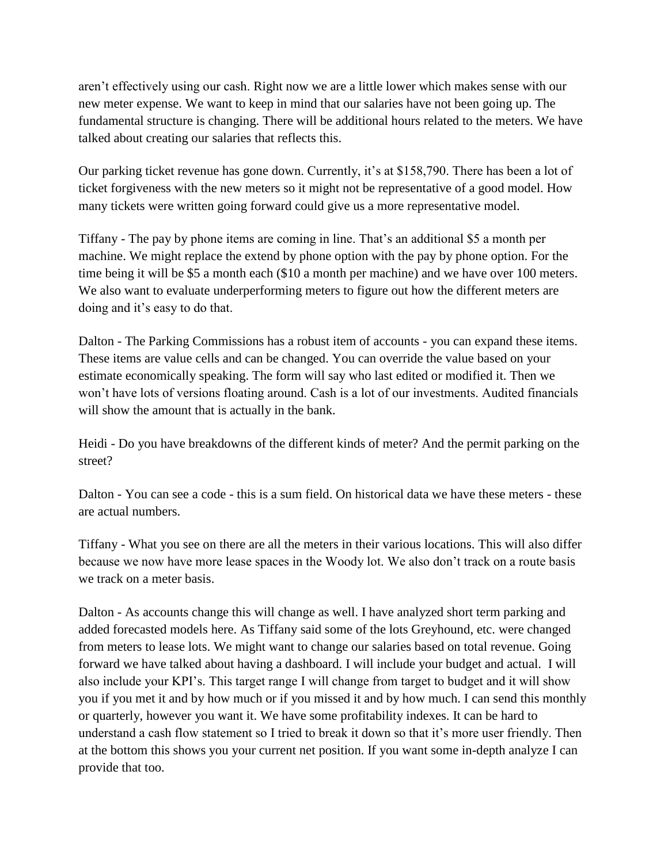aren't effectively using our cash. Right now we are a little lower which makes sense with our new meter expense. We want to keep in mind that our salaries have not been going up. The fundamental structure is changing. There will be additional hours related to the meters. We have talked about creating our salaries that reflects this.

Our parking ticket revenue has gone down. Currently, it's at \$158,790. There has been a lot of ticket forgiveness with the new meters so it might not be representative of a good model. How many tickets were written going forward could give us a more representative model.

Tiffany - The pay by phone items are coming in line. That's an additional \$5 a month per machine. We might replace the extend by phone option with the pay by phone option. For the time being it will be \$5 a month each (\$10 a month per machine) and we have over 100 meters. We also want to evaluate underperforming meters to figure out how the different meters are doing and it's easy to do that.

Dalton - The Parking Commissions has a robust item of accounts - you can expand these items. These items are value cells and can be changed. You can override the value based on your estimate economically speaking. The form will say who last edited or modified it. Then we won't have lots of versions floating around. Cash is a lot of our investments. Audited financials will show the amount that is actually in the bank.

Heidi - Do you have breakdowns of the different kinds of meter? And the permit parking on the street?

Dalton - You can see a code - this is a sum field. On historical data we have these meters - these are actual numbers.

Tiffany - What you see on there are all the meters in their various locations. This will also differ because we now have more lease spaces in the Woody lot. We also don't track on a route basis we track on a meter basis.

Dalton - As accounts change this will change as well. I have analyzed short term parking and added forecasted models here. As Tiffany said some of the lots Greyhound, etc. were changed from meters to lease lots. We might want to change our salaries based on total revenue. Going forward we have talked about having a dashboard. I will include your budget and actual. I will also include your KPI's. This target range I will change from target to budget and it will show you if you met it and by how much or if you missed it and by how much. I can send this monthly or quarterly, however you want it. We have some profitability indexes. It can be hard to understand a cash flow statement so I tried to break it down so that it's more user friendly. Then at the bottom this shows you your current net position. If you want some in-depth analyze I can provide that too.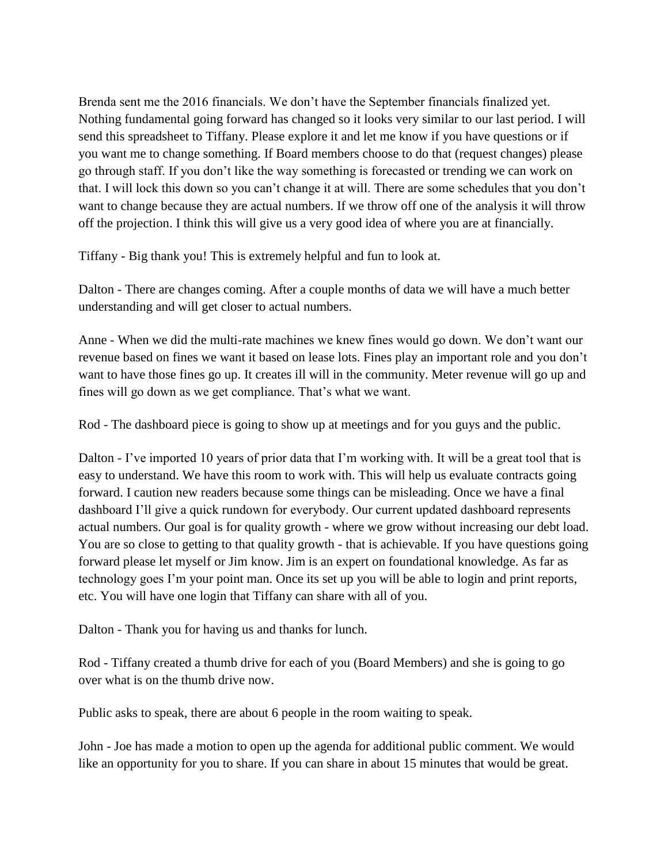Brenda sent me the 2016 financials. We don't have the September financials finalized yet. Nothing fundamental going forward has changed so it looks very similar to our last period. I will send this spreadsheet to Tiffany. Please explore it and let me know if you have questions or if you want me to change something. If Board members choose to do that (request changes) please go through staff. If you don't like the way something is forecasted or trending we can work on that. I will lock this down so you can't change it at will. There are some schedules that you don't want to change because they are actual numbers. If we throw off one of the analysis it will throw off the projection. I think this will give us a very good idea of where you are at financially.

Tiffany - Big thank you! This is extremely helpful and fun to look at.

Dalton - There are changes coming. After a couple months of data we will have a much better understanding and will get closer to actual numbers.

Anne - When we did the multi-rate machines we knew fines would go down. We don't want our revenue based on fines we want it based on lease lots. Fines play an important role and you don't want to have those fines go up. It creates ill will in the community. Meter revenue will go up and fines will go down as we get compliance. That's what we want.

Rod - The dashboard piece is going to show up at meetings and for you guys and the public.

Dalton - I've imported 10 years of prior data that I'm working with. It will be a great tool that is easy to understand. We have this room to work with. This will help us evaluate contracts going forward. I caution new readers because some things can be misleading. Once we have a final dashboard I'll give a quick rundown for everybody. Our current updated dashboard represents actual numbers. Our goal is for quality growth - where we grow without increasing our debt load. You are so close to getting to that quality growth - that is achievable. If you have questions going forward please let myself or Jim know. Jim is an expert on foundational knowledge. As far as technology goes I'm your point man. Once its set up you will be able to login and print reports, etc. You will have one login that Tiffany can share with all of you.

Dalton - Thank you for having us and thanks for lunch.

Rod - Tiffany created a thumb drive for each of you (Board Members) and she is going to go over what is on the thumb drive now.

Public asks to speak, there are about 6 people in the room waiting to speak.

John - Joe has made a motion to open up the agenda for additional public comment. We would like an opportunity for you to share. If you can share in about 15 minutes that would be great.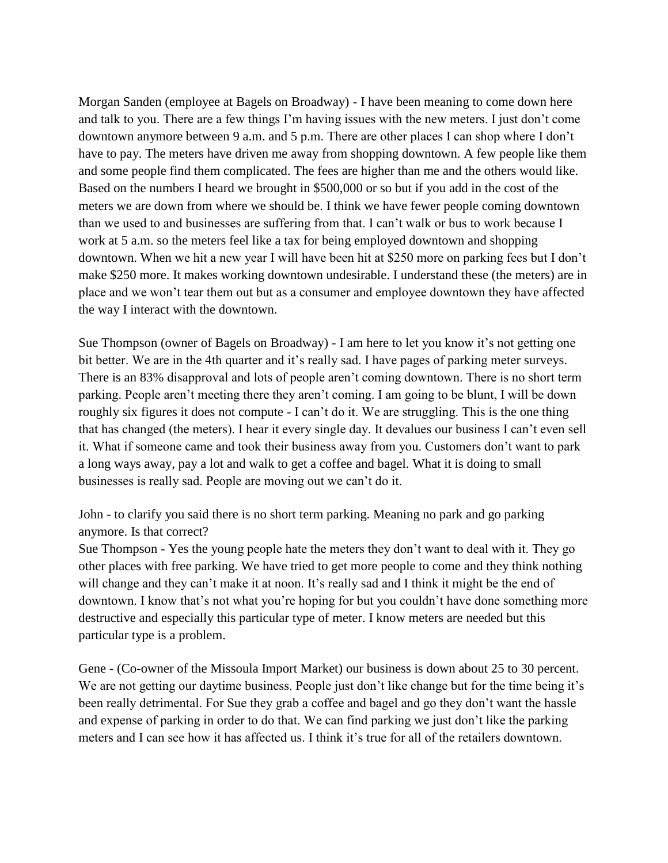Morgan Sanden (employee at Bagels on Broadway) - I have been meaning to come down here and talk to you. There are a few things I'm having issues with the new meters. I just don't come downtown anymore between 9 a.m. and 5 p.m. There are other places I can shop where I don't have to pay. The meters have driven me away from shopping downtown. A few people like them and some people find them complicated. The fees are higher than me and the others would like. Based on the numbers I heard we brought in \$500,000 or so but if you add in the cost of the meters we are down from where we should be. I think we have fewer people coming downtown than we used to and businesses are suffering from that. I can't walk or bus to work because I work at 5 a.m. so the meters feel like a tax for being employed downtown and shopping downtown. When we hit a new year I will have been hit at \$250 more on parking fees but I don't make \$250 more. It makes working downtown undesirable. I understand these (the meters) are in place and we won't tear them out but as a consumer and employee downtown they have affected the way I interact with the downtown.

Sue Thompson (owner of Bagels on Broadway) - I am here to let you know it's not getting one bit better. We are in the 4th quarter and it's really sad. I have pages of parking meter surveys. There is an 83% disapproval and lots of people aren't coming downtown. There is no short term parking. People aren't meeting there they aren't coming. I am going to be blunt, I will be down roughly six figures it does not compute - I can't do it. We are struggling. This is the one thing that has changed (the meters). I hear it every single day. It devalues our business I can't even sell it. What if someone came and took their business away from you. Customers don't want to park a long ways away, pay a lot and walk to get a coffee and bagel. What it is doing to small businesses is really sad. People are moving out we can't do it.

John - to clarify you said there is no short term parking. Meaning no park and go parking anymore. Is that correct?

Sue Thompson - Yes the young people hate the meters they don't want to deal with it. They go other places with free parking. We have tried to get more people to come and they think nothing will change and they can't make it at noon. It's really sad and I think it might be the end of downtown. I know that's not what you're hoping for but you couldn't have done something more destructive and especially this particular type of meter. I know meters are needed but this particular type is a problem.

Gene - (Co-owner of the Missoula Import Market) our business is down about 25 to 30 percent. We are not getting our daytime business. People just don't like change but for the time being it's been really detrimental. For Sue they grab a coffee and bagel and go they don't want the hassle and expense of parking in order to do that. We can find parking we just don't like the parking meters and I can see how it has affected us. I think it's true for all of the retailers downtown.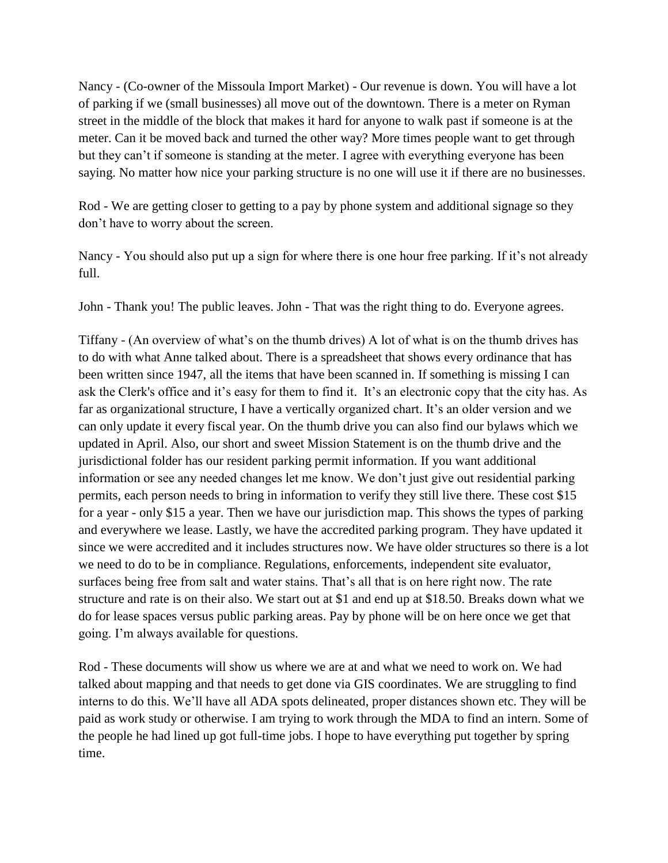Nancy - (Co-owner of the Missoula Import Market) - Our revenue is down. You will have a lot of parking if we (small businesses) all move out of the downtown. There is a meter on Ryman street in the middle of the block that makes it hard for anyone to walk past if someone is at the meter. Can it be moved back and turned the other way? More times people want to get through but they can't if someone is standing at the meter. I agree with everything everyone has been saying. No matter how nice your parking structure is no one will use it if there are no businesses.

Rod - We are getting closer to getting to a pay by phone system and additional signage so they don't have to worry about the screen.

Nancy - You should also put up a sign for where there is one hour free parking. If it's not already full.

John - Thank you! The public leaves. John - That was the right thing to do. Everyone agrees.

Tiffany - (An overview of what's on the thumb drives) A lot of what is on the thumb drives has to do with what Anne talked about. There is a spreadsheet that shows every ordinance that has been written since 1947, all the items that have been scanned in. If something is missing I can ask the Clerk's office and it's easy for them to find it. It's an electronic copy that the city has. As far as organizational structure, I have a vertically organized chart. It's an older version and we can only update it every fiscal year. On the thumb drive you can also find our bylaws which we updated in April. Also, our short and sweet Mission Statement is on the thumb drive and the jurisdictional folder has our resident parking permit information. If you want additional information or see any needed changes let me know. We don't just give out residential parking permits, each person needs to bring in information to verify they still live there. These cost \$15 for a year - only \$15 a year. Then we have our jurisdiction map. This shows the types of parking and everywhere we lease. Lastly, we have the accredited parking program. They have updated it since we were accredited and it includes structures now. We have older structures so there is a lot we need to do to be in compliance. Regulations, enforcements, independent site evaluator, surfaces being free from salt and water stains. That's all that is on here right now. The rate structure and rate is on their also. We start out at \$1 and end up at \$18.50. Breaks down what we do for lease spaces versus public parking areas. Pay by phone will be on here once we get that going. I'm always available for questions.

Rod - These documents will show us where we are at and what we need to work on. We had talked about mapping and that needs to get done via GIS coordinates. We are struggling to find interns to do this. We'll have all ADA spots delineated, proper distances shown etc. They will be paid as work study or otherwise. I am trying to work through the MDA to find an intern. Some of the people he had lined up got full-time jobs. I hope to have everything put together by spring time.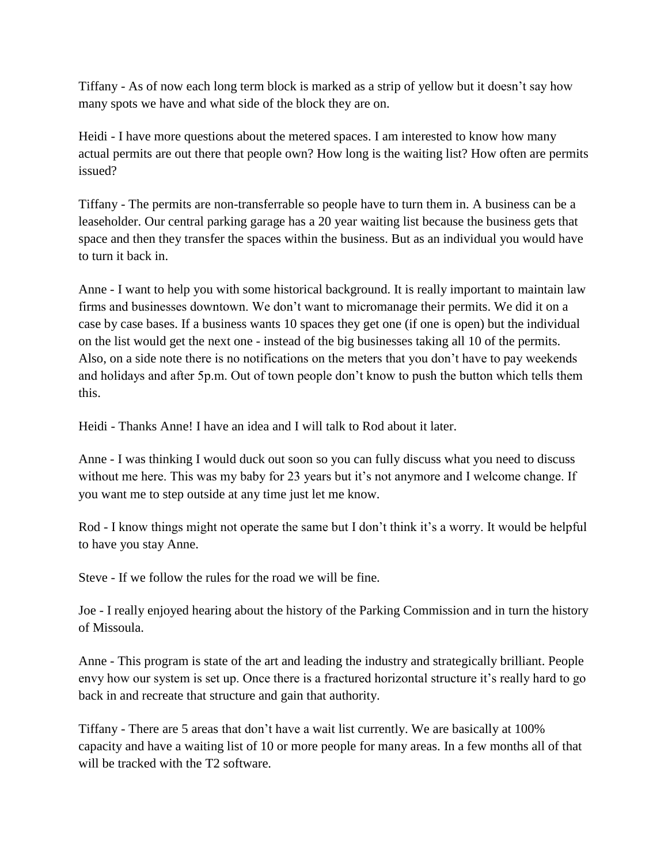Tiffany - As of now each long term block is marked as a strip of yellow but it doesn't say how many spots we have and what side of the block they are on.

Heidi - I have more questions about the metered spaces. I am interested to know how many actual permits are out there that people own? How long is the waiting list? How often are permits issued?

Tiffany - The permits are non-transferrable so people have to turn them in. A business can be a leaseholder. Our central parking garage has a 20 year waiting list because the business gets that space and then they transfer the spaces within the business. But as an individual you would have to turn it back in.

Anne - I want to help you with some historical background. It is really important to maintain law firms and businesses downtown. We don't want to micromanage their permits. We did it on a case by case bases. If a business wants 10 spaces they get one (if one is open) but the individual on the list would get the next one - instead of the big businesses taking all 10 of the permits. Also, on a side note there is no notifications on the meters that you don't have to pay weekends and holidays and after 5p.m. Out of town people don't know to push the button which tells them this.

Heidi - Thanks Anne! I have an idea and I will talk to Rod about it later.

Anne - I was thinking I would duck out soon so you can fully discuss what you need to discuss without me here. This was my baby for 23 years but it's not anymore and I welcome change. If you want me to step outside at any time just let me know.

Rod - I know things might not operate the same but I don't think it's a worry. It would be helpful to have you stay Anne.

Steve - If we follow the rules for the road we will be fine.

Joe - I really enjoyed hearing about the history of the Parking Commission and in turn the history of Missoula.

Anne - This program is state of the art and leading the industry and strategically brilliant. People envy how our system is set up. Once there is a fractured horizontal structure it's really hard to go back in and recreate that structure and gain that authority.

Tiffany - There are 5 areas that don't have a wait list currently. We are basically at 100% capacity and have a waiting list of 10 or more people for many areas. In a few months all of that will be tracked with the T<sub>2</sub> software.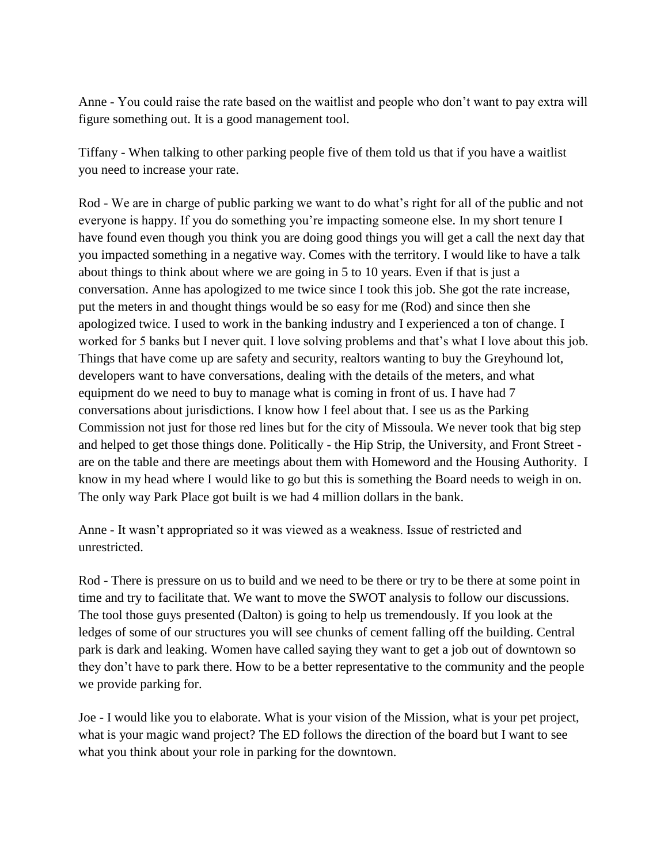Anne - You could raise the rate based on the waitlist and people who don't want to pay extra will figure something out. It is a good management tool.

Tiffany - When talking to other parking people five of them told us that if you have a waitlist you need to increase your rate.

Rod - We are in charge of public parking we want to do what's right for all of the public and not everyone is happy. If you do something you're impacting someone else. In my short tenure I have found even though you think you are doing good things you will get a call the next day that you impacted something in a negative way. Comes with the territory. I would like to have a talk about things to think about where we are going in 5 to 10 years. Even if that is just a conversation. Anne has apologized to me twice since I took this job. She got the rate increase, put the meters in and thought things would be so easy for me (Rod) and since then she apologized twice. I used to work in the banking industry and I experienced a ton of change. I worked for 5 banks but I never quit. I love solving problems and that's what I love about this job. Things that have come up are safety and security, realtors wanting to buy the Greyhound lot, developers want to have conversations, dealing with the details of the meters, and what equipment do we need to buy to manage what is coming in front of us. I have had 7 conversations about jurisdictions. I know how I feel about that. I see us as the Parking Commission not just for those red lines but for the city of Missoula. We never took that big step and helped to get those things done. Politically - the Hip Strip, the University, and Front Street are on the table and there are meetings about them with Homeword and the Housing Authority. I know in my head where I would like to go but this is something the Board needs to weigh in on. The only way Park Place got built is we had 4 million dollars in the bank.

Anne - It wasn't appropriated so it was viewed as a weakness. Issue of restricted and unrestricted.

Rod - There is pressure on us to build and we need to be there or try to be there at some point in time and try to facilitate that. We want to move the SWOT analysis to follow our discussions. The tool those guys presented (Dalton) is going to help us tremendously. If you look at the ledges of some of our structures you will see chunks of cement falling off the building. Central park is dark and leaking. Women have called saying they want to get a job out of downtown so they don't have to park there. How to be a better representative to the community and the people we provide parking for.

Joe - I would like you to elaborate. What is your vision of the Mission, what is your pet project, what is your magic wand project? The ED follows the direction of the board but I want to see what you think about your role in parking for the downtown.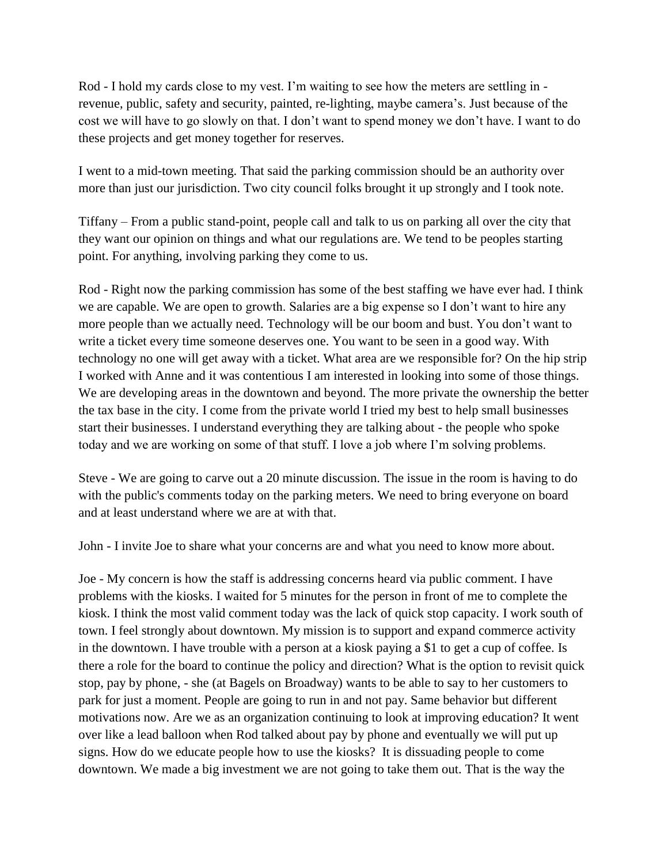Rod - I hold my cards close to my vest. I'm waiting to see how the meters are settling in revenue, public, safety and security, painted, re-lighting, maybe camera's. Just because of the cost we will have to go slowly on that. I don't want to spend money we don't have. I want to do these projects and get money together for reserves.

I went to a mid-town meeting. That said the parking commission should be an authority over more than just our jurisdiction. Two city council folks brought it up strongly and I took note.

Tiffany – From a public stand-point, people call and talk to us on parking all over the city that they want our opinion on things and what our regulations are. We tend to be peoples starting point. For anything, involving parking they come to us.

Rod - Right now the parking commission has some of the best staffing we have ever had. I think we are capable. We are open to growth. Salaries are a big expense so I don't want to hire any more people than we actually need. Technology will be our boom and bust. You don't want to write a ticket every time someone deserves one. You want to be seen in a good way. With technology no one will get away with a ticket. What area are we responsible for? On the hip strip I worked with Anne and it was contentious I am interested in looking into some of those things. We are developing areas in the downtown and beyond. The more private the ownership the better the tax base in the city. I come from the private world I tried my best to help small businesses start their businesses. I understand everything they are talking about - the people who spoke today and we are working on some of that stuff. I love a job where I'm solving problems.

Steve - We are going to carve out a 20 minute discussion. The issue in the room is having to do with the public's comments today on the parking meters. We need to bring everyone on board and at least understand where we are at with that.

John - I invite Joe to share what your concerns are and what you need to know more about.

Joe - My concern is how the staff is addressing concerns heard via public comment. I have problems with the kiosks. I waited for 5 minutes for the person in front of me to complete the kiosk. I think the most valid comment today was the lack of quick stop capacity. I work south of town. I feel strongly about downtown. My mission is to support and expand commerce activity in the downtown. I have trouble with a person at a kiosk paying a \$1 to get a cup of coffee. Is there a role for the board to continue the policy and direction? What is the option to revisit quick stop, pay by phone, - she (at Bagels on Broadway) wants to be able to say to her customers to park for just a moment. People are going to run in and not pay. Same behavior but different motivations now. Are we as an organization continuing to look at improving education? It went over like a lead balloon when Rod talked about pay by phone and eventually we will put up signs. How do we educate people how to use the kiosks? It is dissuading people to come downtown. We made a big investment we are not going to take them out. That is the way the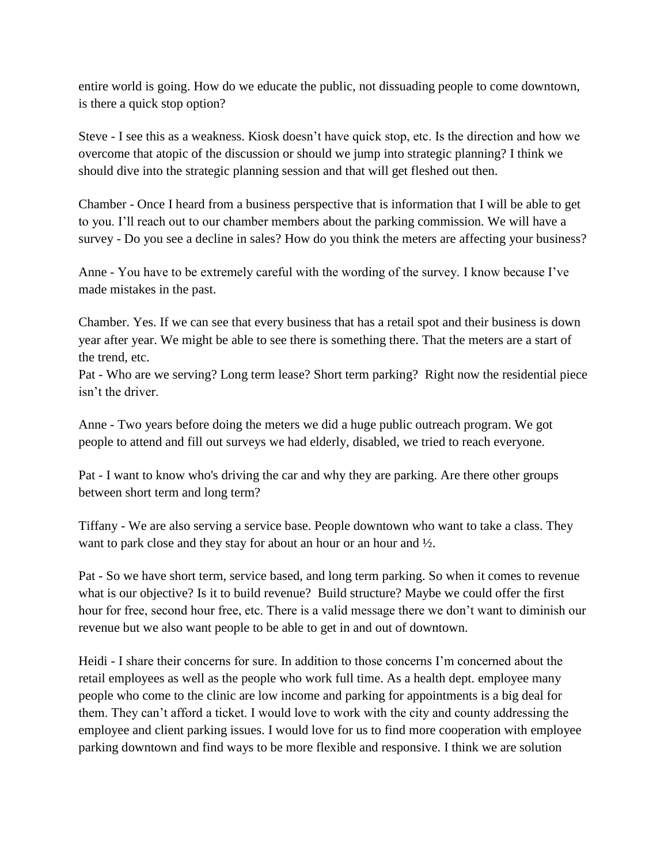entire world is going. How do we educate the public, not dissuading people to come downtown, is there a quick stop option?

Steve - I see this as a weakness. Kiosk doesn't have quick stop, etc. Is the direction and how we overcome that atopic of the discussion or should we jump into strategic planning? I think we should dive into the strategic planning session and that will get fleshed out then.

Chamber - Once I heard from a business perspective that is information that I will be able to get to you. I'll reach out to our chamber members about the parking commission. We will have a survey - Do you see a decline in sales? How do you think the meters are affecting your business?

Anne - You have to be extremely careful with the wording of the survey. I know because I've made mistakes in the past.

Chamber. Yes. If we can see that every business that has a retail spot and their business is down year after year. We might be able to see there is something there. That the meters are a start of the trend, etc.

Pat - Who are we serving? Long term lease? Short term parking? Right now the residential piece isn't the driver.

Anne - Two years before doing the meters we did a huge public outreach program. We got people to attend and fill out surveys we had elderly, disabled, we tried to reach everyone.

Pat - I want to know who's driving the car and why they are parking. Are there other groups between short term and long term?

Tiffany - We are also serving a service base. People downtown who want to take a class. They want to park close and they stay for about an hour or an hour and ½.

Pat - So we have short term, service based, and long term parking. So when it comes to revenue what is our objective? Is it to build revenue? Build structure? Maybe we could offer the first hour for free, second hour free, etc. There is a valid message there we don't want to diminish our revenue but we also want people to be able to get in and out of downtown.

Heidi - I share their concerns for sure. In addition to those concerns I'm concerned about the retail employees as well as the people who work full time. As a health dept. employee many people who come to the clinic are low income and parking for appointments is a big deal for them. They can't afford a ticket. I would love to work with the city and county addressing the employee and client parking issues. I would love for us to find more cooperation with employee parking downtown and find ways to be more flexible and responsive. I think we are solution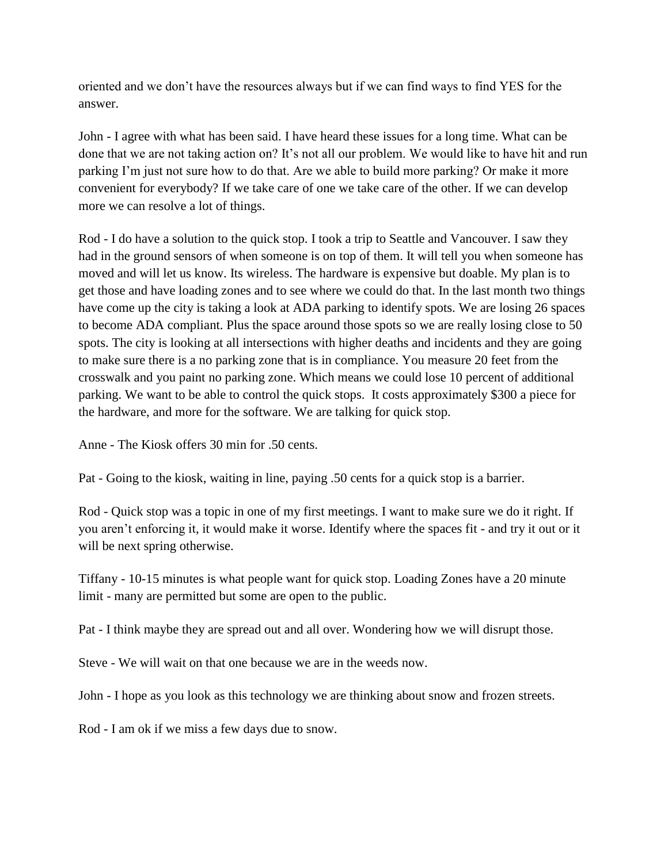oriented and we don't have the resources always but if we can find ways to find YES for the answer.

John - I agree with what has been said. I have heard these issues for a long time. What can be done that we are not taking action on? It's not all our problem. We would like to have hit and run parking I'm just not sure how to do that. Are we able to build more parking? Or make it more convenient for everybody? If we take care of one we take care of the other. If we can develop more we can resolve a lot of things.

Rod - I do have a solution to the quick stop. I took a trip to Seattle and Vancouver. I saw they had in the ground sensors of when someone is on top of them. It will tell you when someone has moved and will let us know. Its wireless. The hardware is expensive but doable. My plan is to get those and have loading zones and to see where we could do that. In the last month two things have come up the city is taking a look at ADA parking to identify spots. We are losing 26 spaces to become ADA compliant. Plus the space around those spots so we are really losing close to 50 spots. The city is looking at all intersections with higher deaths and incidents and they are going to make sure there is a no parking zone that is in compliance. You measure 20 feet from the crosswalk and you paint no parking zone. Which means we could lose 10 percent of additional parking. We want to be able to control the quick stops. It costs approximately \$300 a piece for the hardware, and more for the software. We are talking for quick stop.

Anne - The Kiosk offers 30 min for .50 cents.

Pat - Going to the kiosk, waiting in line, paying .50 cents for a quick stop is a barrier.

Rod - Quick stop was a topic in one of my first meetings. I want to make sure we do it right. If you aren't enforcing it, it would make it worse. Identify where the spaces fit - and try it out or it will be next spring otherwise.

Tiffany - 10-15 minutes is what people want for quick stop. Loading Zones have a 20 minute limit - many are permitted but some are open to the public.

Pat - I think maybe they are spread out and all over. Wondering how we will disrupt those.

Steve - We will wait on that one because we are in the weeds now.

John - I hope as you look as this technology we are thinking about snow and frozen streets.

Rod - I am ok if we miss a few days due to snow.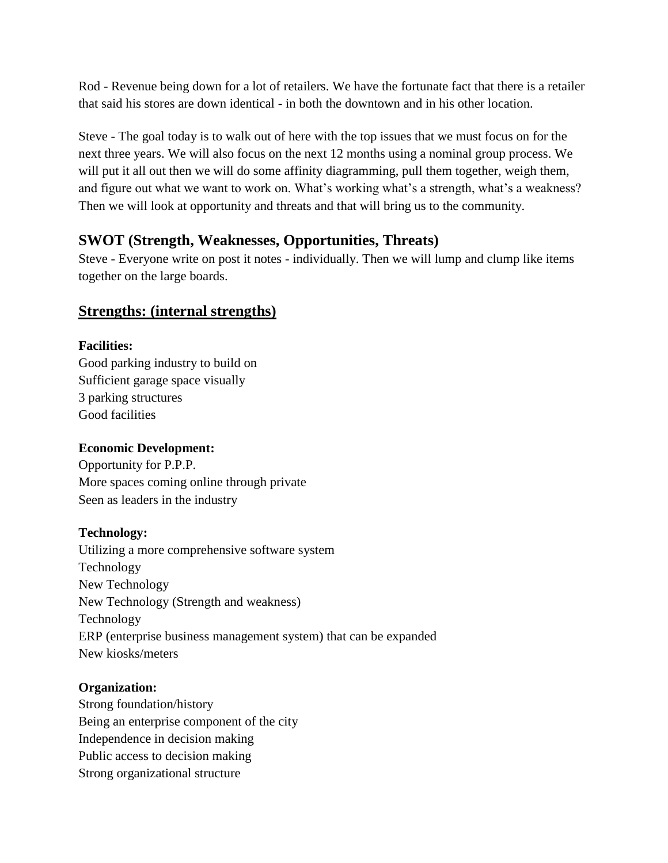Rod - Revenue being down for a lot of retailers. We have the fortunate fact that there is a retailer that said his stores are down identical - in both the downtown and in his other location.

Steve - The goal today is to walk out of here with the top issues that we must focus on for the next three years. We will also focus on the next 12 months using a nominal group process. We will put it all out then we will do some affinity diagramming, pull them together, weigh them, and figure out what we want to work on. What's working what's a strength, what's a weakness? Then we will look at opportunity and threats and that will bring us to the community.

# **SWOT (Strength, Weaknesses, Opportunities, Threats)**

Steve - Everyone write on post it notes - individually. Then we will lump and clump like items together on the large boards.

# **Strengths: (internal strengths)**

## **Facilities:**

Good parking industry to build on Sufficient garage space visually 3 parking structures Good facilities

## **Economic Development:**

Opportunity for P.P.P. More spaces coming online through private Seen as leaders in the industry

## **Technology:**

Utilizing a more comprehensive software system Technology New Technology New Technology (Strength and weakness) Technology ERP (enterprise business management system) that can be expanded New kiosks/meters

## **Organization:**

Strong foundation/history Being an enterprise component of the city Independence in decision making Public access to decision making Strong organizational structure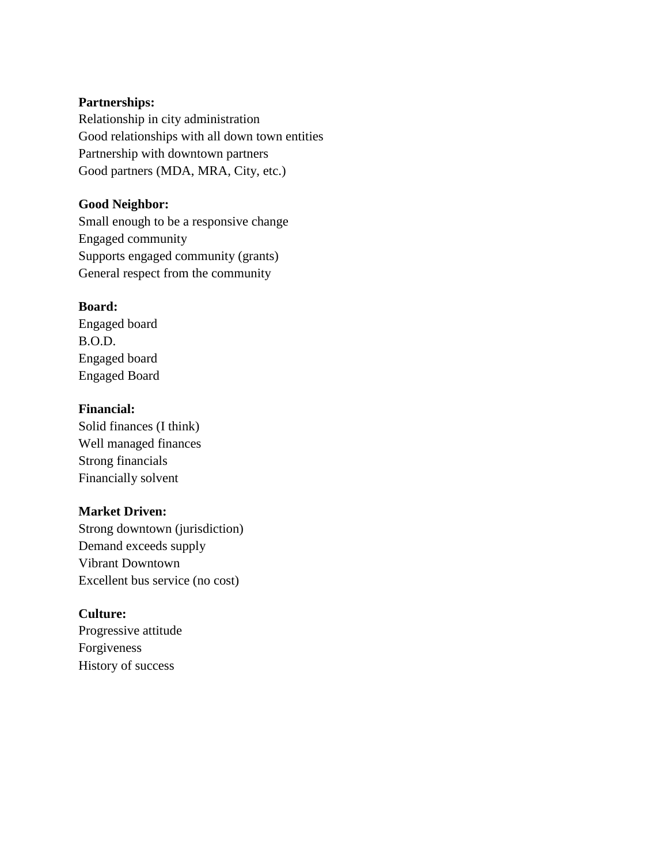## **Partnerships:**

Relationship in city administration Good relationships with all down town entities Partnership with downtown partners Good partners (MDA, MRA, City, etc.)

## **Good Neighbor:**

Small enough to be a responsive change Engaged community Supports engaged community (grants) General respect from the community

## **Board:**

Engaged board B.O.D. Engaged board Engaged Board

## **Financial:**

Solid finances (I think) Well managed finances Strong financials Financially solvent

## **Market Driven:**

Strong downtown (jurisdiction) Demand exceeds supply Vibrant Downtown Excellent bus service (no cost)

## **Culture:**

Progressive attitude Forgiveness History of success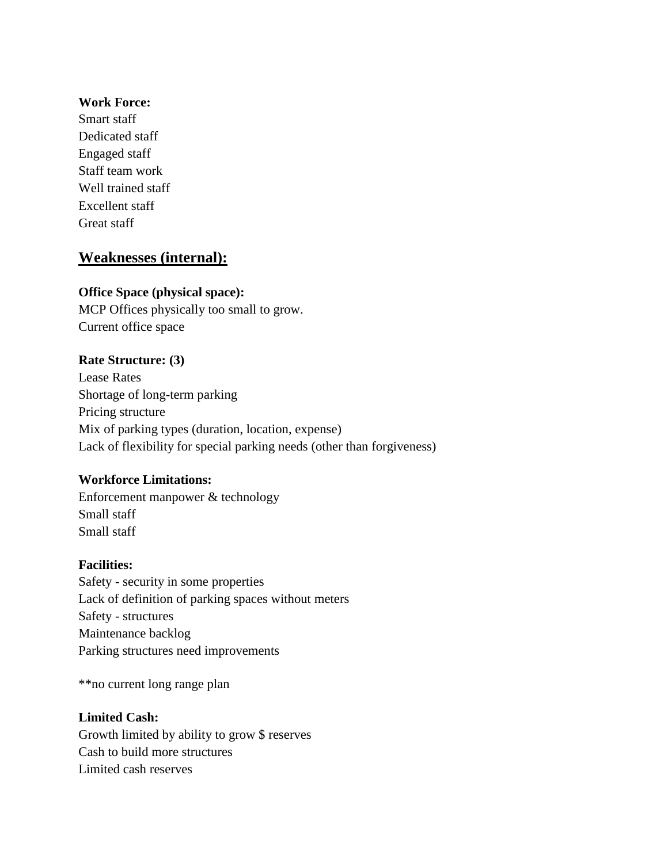## **Work Force:**

Smart staff Dedicated staff Engaged staff Staff team work Well trained staff Excellent staff Great staff

## **Weaknesses (internal):**

## **Office Space (physical space):**

MCP Offices physically too small to grow. Current office space

## **Rate Structure: (3)**

Lease Rates Shortage of long-term parking Pricing structure Mix of parking types (duration, location, expense) Lack of flexibility for special parking needs (other than forgiveness)

## **Workforce Limitations:**

Enforcement manpower & technology Small staff Small staff

## **Facilities:**

Safety - security in some properties Lack of definition of parking spaces without meters Safety - structures Maintenance backlog Parking structures need improvements

\*\*no current long range plan

## **Limited Cash:**

Growth limited by ability to grow \$ reserves Cash to build more structures Limited cash reserves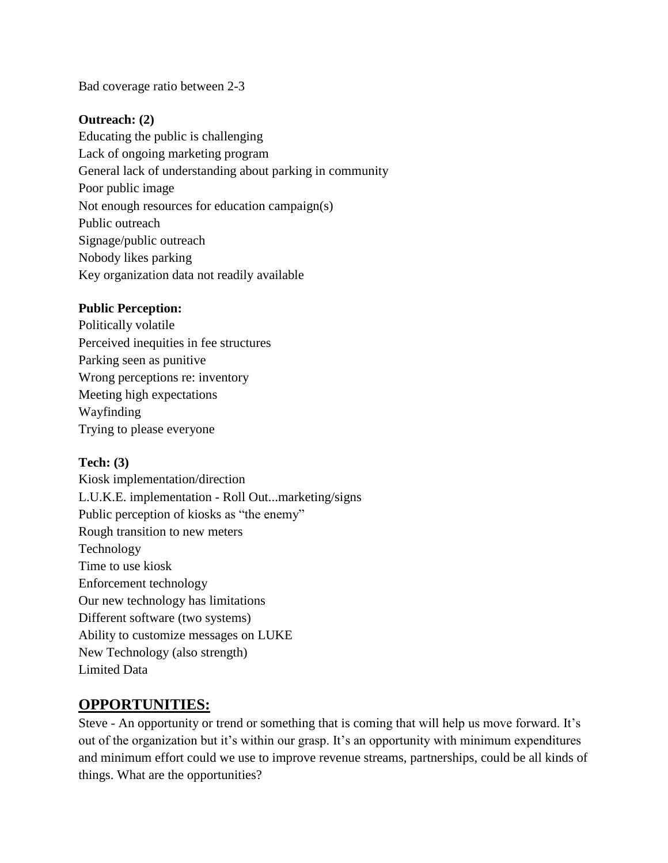Bad coverage ratio between 2-3

## **Outreach: (2)**

Educating the public is challenging Lack of ongoing marketing program General lack of understanding about parking in community Poor public image Not enough resources for education campaign(s) Public outreach Signage/public outreach Nobody likes parking Key organization data not readily available

## **Public Perception:**

Politically volatile Perceived inequities in fee structures Parking seen as punitive Wrong perceptions re: inventory Meeting high expectations Wayfinding Trying to please everyone

## **Tech: (3)**

Kiosk implementation/direction L.U.K.E. implementation - Roll Out...marketing/signs Public perception of kiosks as "the enemy" Rough transition to new meters Technology Time to use kiosk Enforcement technology Our new technology has limitations Different software (two systems) Ability to customize messages on LUKE New Technology (also strength) Limited Data

# **OPPORTUNITIES:**

Steve - An opportunity or trend or something that is coming that will help us move forward. It's out of the organization but it's within our grasp. It's an opportunity with minimum expenditures and minimum effort could we use to improve revenue streams, partnerships, could be all kinds of things. What are the opportunities?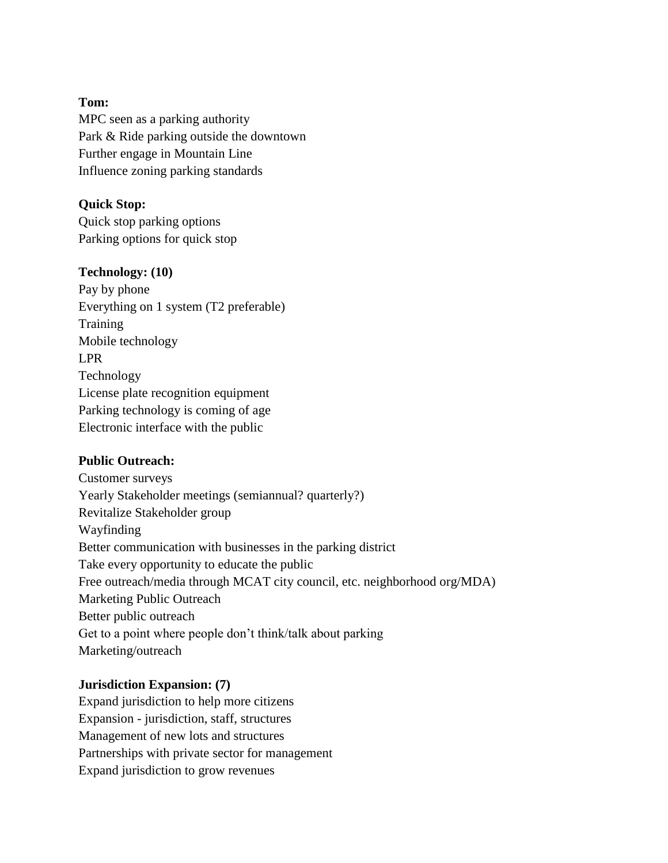## **Tom:**

MPC seen as a parking authority Park & Ride parking outside the downtown Further engage in Mountain Line Influence zoning parking standards

## **Quick Stop:**

Quick stop parking options Parking options for quick stop

## **Technology: (10)**

Pay by phone Everything on 1 system (T2 preferable) **Training** Mobile technology LPR Technology License plate recognition equipment Parking technology is coming of age Electronic interface with the public

## **Public Outreach:**

Customer surveys Yearly Stakeholder meetings (semiannual? quarterly?) Revitalize Stakeholder group Wayfinding Better communication with businesses in the parking district Take every opportunity to educate the public Free outreach/media through MCAT city council, etc. neighborhood org/MDA) Marketing Public Outreach Better public outreach Get to a point where people don't think/talk about parking Marketing/outreach

## **Jurisdiction Expansion: (7)**

Expand jurisdiction to help more citizens Expansion - jurisdiction, staff, structures Management of new lots and structures Partnerships with private sector for management Expand jurisdiction to grow revenues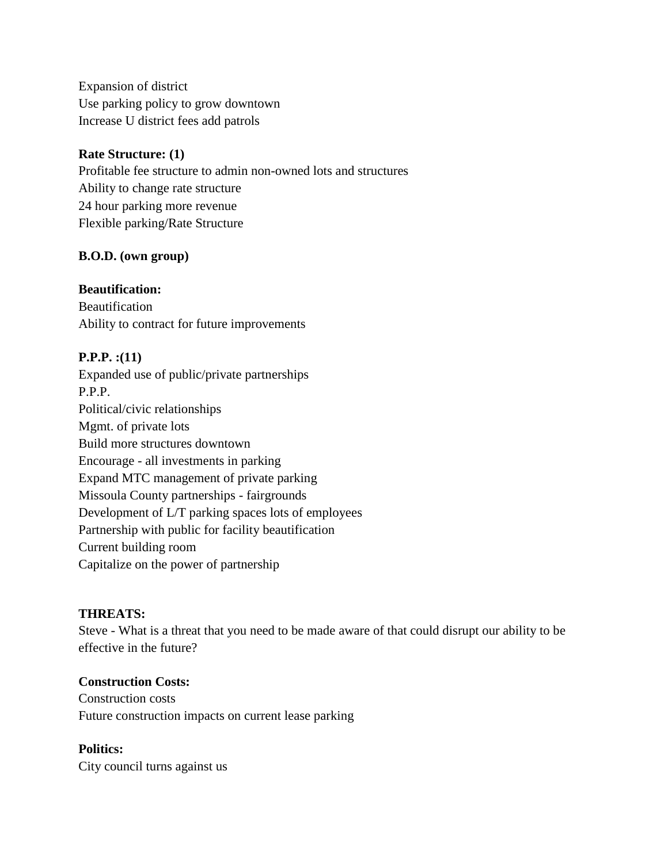Expansion of district Use parking policy to grow downtown Increase U district fees add patrols

## **Rate Structure: (1)**

Profitable fee structure to admin non-owned lots and structures Ability to change rate structure 24 hour parking more revenue Flexible parking/Rate Structure

## **B.O.D. (own group)**

## **Beautification:**

Beautification Ability to contract for future improvements

## **P.P.P. :(11)**

Expanded use of public/private partnerships P.P.P. Political/civic relationships Mgmt. of private lots Build more structures downtown Encourage - all investments in parking Expand MTC management of private parking Missoula County partnerships - fairgrounds Development of L/T parking spaces lots of employees Partnership with public for facility beautification Current building room Capitalize on the power of partnership

## **THREATS:**

Steve - What is a threat that you need to be made aware of that could disrupt our ability to be effective in the future?

#### **Construction Costs:**

Construction costs Future construction impacts on current lease parking

# **Politics:**

City council turns against us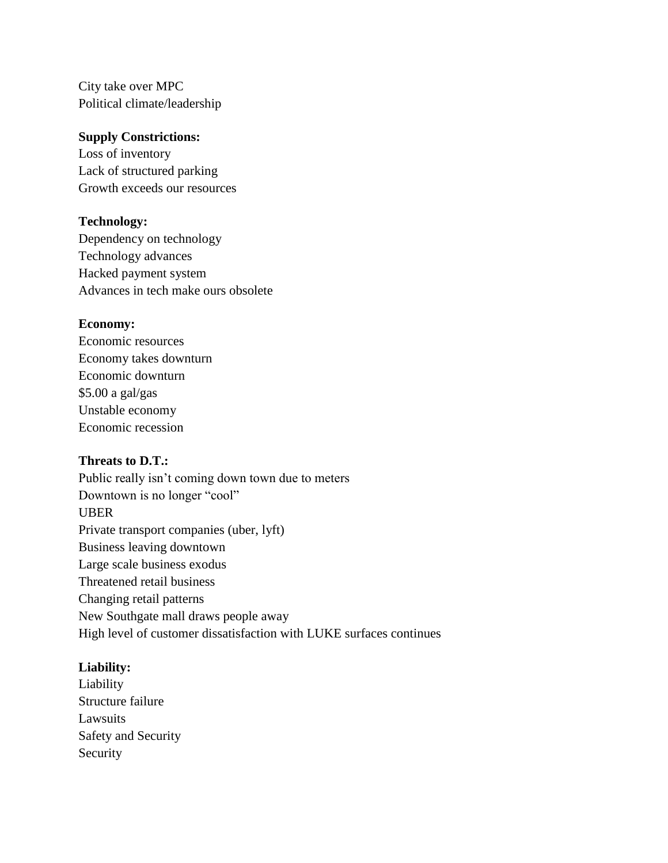City take over MPC Political climate/leadership

## **Supply Constrictions:**

Loss of inventory Lack of structured parking Growth exceeds our resources

## **Technology:**

Dependency on technology Technology advances Hacked payment system Advances in tech make ours obsolete

## **Economy:**

Economic resources Economy takes downturn Economic downturn \$5.00 a gal/gas Unstable economy Economic recession

## **Threats to D.T.:**

Public really isn't coming down town due to meters Downtown is no longer "cool" UBER Private transport companies (uber, lyft) Business leaving downtown Large scale business exodus Threatened retail business Changing retail patterns New Southgate mall draws people away High level of customer dissatisfaction with LUKE surfaces continues

## **Liability:**

Liability Structure failure Lawsuits Safety and Security Security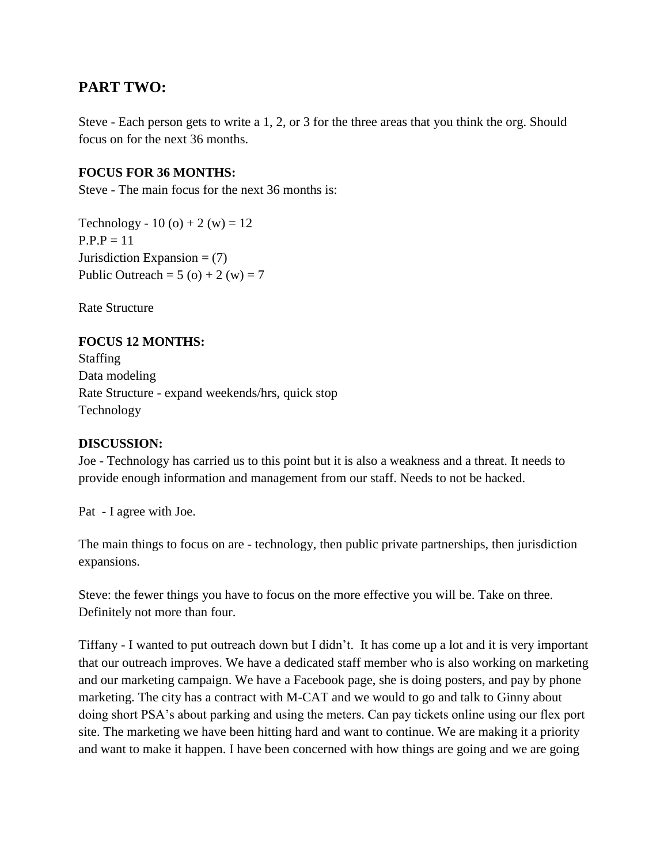# **PART TWO:**

Steve - Each person gets to write a 1, 2, or 3 for the three areas that you think the org. Should focus on for the next 36 months.

## **FOCUS FOR 36 MONTHS:**

Steve - The main focus for the next 36 months is:

Technology - 10 (o) + 2 (w) = 12  $P.P.P = 11$ Jurisdiction Expansion  $=(7)$ Public Outreach =  $5$  (o) + 2 (w) = 7

Rate Structure

## **FOCUS 12 MONTHS:**

Staffing Data modeling Rate Structure - expand weekends/hrs, quick stop Technology

#### **DISCUSSION:**

Joe - Technology has carried us to this point but it is also a weakness and a threat. It needs to provide enough information and management from our staff. Needs to not be hacked.

Pat - I agree with Joe.

The main things to focus on are - technology, then public private partnerships, then jurisdiction expansions.

Steve: the fewer things you have to focus on the more effective you will be. Take on three. Definitely not more than four.

Tiffany - I wanted to put outreach down but I didn't. It has come up a lot and it is very important that our outreach improves. We have a dedicated staff member who is also working on marketing and our marketing campaign. We have a Facebook page, she is doing posters, and pay by phone marketing. The city has a contract with M-CAT and we would to go and talk to Ginny about doing short PSA's about parking and using the meters. Can pay tickets online using our flex port site. The marketing we have been hitting hard and want to continue. We are making it a priority and want to make it happen. I have been concerned with how things are going and we are going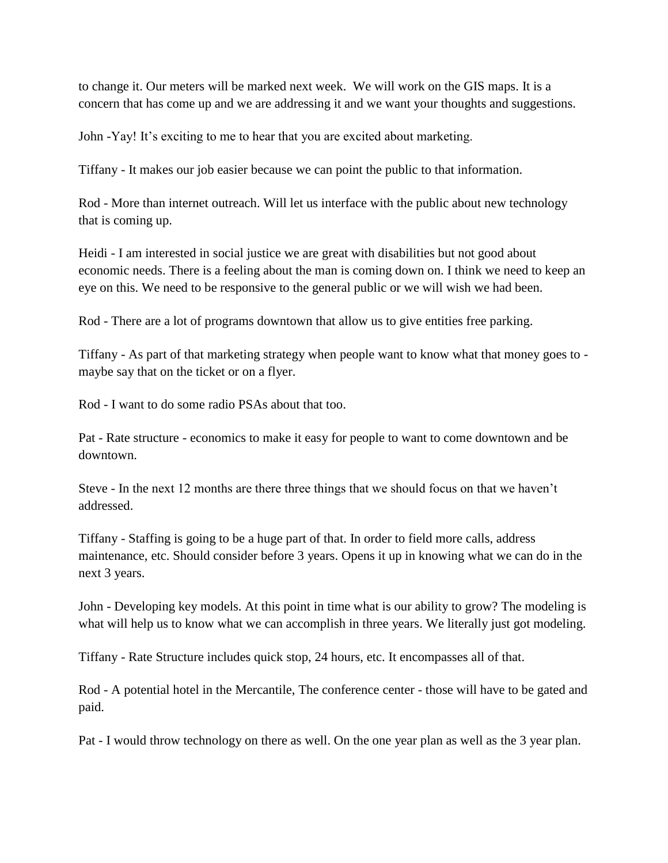to change it. Our meters will be marked next week. We will work on the GIS maps. It is a concern that has come up and we are addressing it and we want your thoughts and suggestions.

John -Yay! It's exciting to me to hear that you are excited about marketing.

Tiffany - It makes our job easier because we can point the public to that information.

Rod - More than internet outreach. Will let us interface with the public about new technology that is coming up.

Heidi - I am interested in social justice we are great with disabilities but not good about economic needs. There is a feeling about the man is coming down on. I think we need to keep an eye on this. We need to be responsive to the general public or we will wish we had been.

Rod - There are a lot of programs downtown that allow us to give entities free parking.

Tiffany - As part of that marketing strategy when people want to know what that money goes to maybe say that on the ticket or on a flyer.

Rod - I want to do some radio PSAs about that too.

Pat - Rate structure - economics to make it easy for people to want to come downtown and be downtown.

Steve - In the next 12 months are there three things that we should focus on that we haven't addressed.

Tiffany - Staffing is going to be a huge part of that. In order to field more calls, address maintenance, etc. Should consider before 3 years. Opens it up in knowing what we can do in the next 3 years.

John - Developing key models. At this point in time what is our ability to grow? The modeling is what will help us to know what we can accomplish in three years. We literally just got modeling.

Tiffany - Rate Structure includes quick stop, 24 hours, etc. It encompasses all of that.

Rod - A potential hotel in the Mercantile, The conference center - those will have to be gated and paid.

Pat - I would throw technology on there as well. On the one year plan as well as the 3 year plan.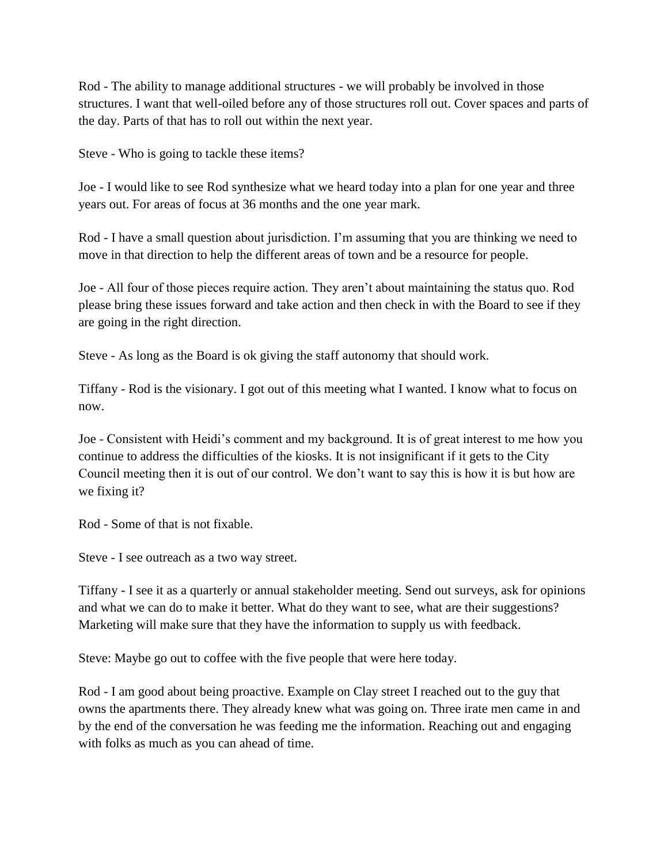Rod - The ability to manage additional structures - we will probably be involved in those structures. I want that well-oiled before any of those structures roll out. Cover spaces and parts of the day. Parts of that has to roll out within the next year.

Steve - Who is going to tackle these items?

Joe - I would like to see Rod synthesize what we heard today into a plan for one year and three years out. For areas of focus at 36 months and the one year mark.

Rod - I have a small question about jurisdiction. I'm assuming that you are thinking we need to move in that direction to help the different areas of town and be a resource for people.

Joe - All four of those pieces require action. They aren't about maintaining the status quo. Rod please bring these issues forward and take action and then check in with the Board to see if they are going in the right direction.

Steve - As long as the Board is ok giving the staff autonomy that should work.

Tiffany - Rod is the visionary. I got out of this meeting what I wanted. I know what to focus on now.

Joe - Consistent with Heidi's comment and my background. It is of great interest to me how you continue to address the difficulties of the kiosks. It is not insignificant if it gets to the City Council meeting then it is out of our control. We don't want to say this is how it is but how are we fixing it?

Rod - Some of that is not fixable.

Steve - I see outreach as a two way street.

Tiffany - I see it as a quarterly or annual stakeholder meeting. Send out surveys, ask for opinions and what we can do to make it better. What do they want to see, what are their suggestions? Marketing will make sure that they have the information to supply us with feedback.

Steve: Maybe go out to coffee with the five people that were here today.

Rod - I am good about being proactive. Example on Clay street I reached out to the guy that owns the apartments there. They already knew what was going on. Three irate men came in and by the end of the conversation he was feeding me the information. Reaching out and engaging with folks as much as you can ahead of time.